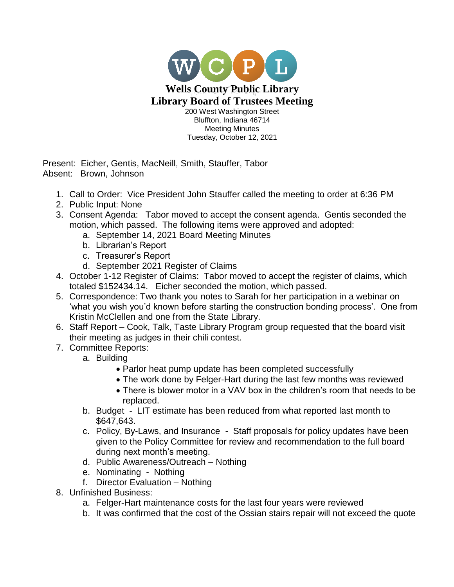

Tuesday, October 12, 2021

Present: Eicher, Gentis, MacNeill, Smith, Stauffer, Tabor Absent: Brown, Johnson

- 1. Call to Order: Vice President John Stauffer called the meeting to order at 6:36 PM
- 2. Public Input: None
- 3. Consent Agenda: Tabor moved to accept the consent agenda. Gentis seconded the motion, which passed. The following items were approved and adopted:
	- a. September 14, 2021 Board Meeting Minutes
	- b. Librarian's Report
	- c. Treasurer's Report
	- d. September 2021 Register of Claims
- 4. October 1-12 Register of Claims: Tabor moved to accept the register of claims, which totaled \$152434.14. Eicher seconded the motion, which passed.
- 5. Correspondence: Two thank you notes to Sarah for her participation in a webinar on 'what you wish you'd known before starting the construction bonding process'. One from Kristin McClellen and one from the State Library.
- 6. Staff Report Cook, Talk, Taste Library Program group requested that the board visit their meeting as judges in their chili contest.
- 7. Committee Reports:
	- a. Building
		- Parlor heat pump update has been completed successfully
		- The work done by Felger-Hart during the last few months was reviewed
		- There is blower motor in a VAV box in the children's room that needs to be replaced.
	- b. Budget LIT estimate has been reduced from what reported last month to \$647,643.
	- c. Policy, By-Laws, and Insurance Staff proposals for policy updates have been given to the Policy Committee for review and recommendation to the full board during next month's meeting.
	- d. Public Awareness/Outreach Nothing
	- e. Nominating Nothing
	- f. Director Evaluation Nothing
- 8. Unfinished Business:
	- a. Felger-Hart maintenance costs for the last four years were reviewed
	- b. It was confirmed that the cost of the Ossian stairs repair will not exceed the quote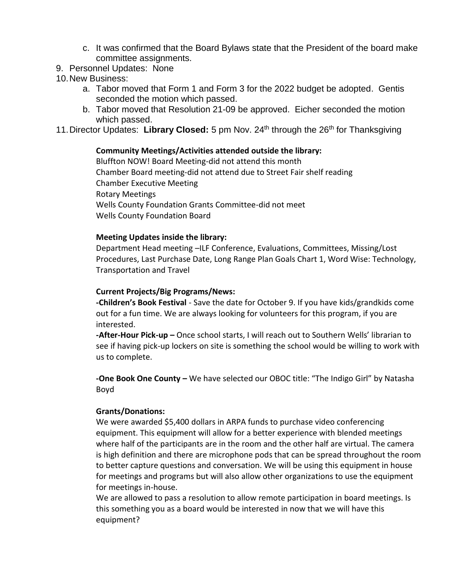- c. It was confirmed that the Board Bylaws state that the President of the board make committee assignments.
- 9. Personnel Updates: None
- 10.New Business:
	- a. Tabor moved that Form 1 and Form 3 for the 2022 budget be adopted. Gentis seconded the motion which passed.
	- b. Tabor moved that Resolution 21-09 be approved. Eicher seconded the motion which passed.
- 11. Director Updates: Library Closed: 5 pm Nov. 24<sup>th</sup> through the 26<sup>th</sup> for Thanksgiving

## **Community Meetings/Activities attended outside the library:**

Bluffton NOW! Board Meeting-did not attend this month Chamber Board meeting-did not attend due to Street Fair shelf reading Chamber Executive Meeting Rotary Meetings Wells County Foundation Grants Committee-did not meet Wells County Foundation Board

## **Meeting Updates inside the library:**

Department Head meeting –ILF Conference, Evaluations, Committees, Missing/Lost Procedures, Last Purchase Date, Long Range Plan Goals Chart 1, Word Wise: Technology, Transportation and Travel

## **Current Projects/Big Programs/News:**

**-Children's Book Festival** - Save the date for October 9. If you have kids/grandkids come out for a fun time. We are always looking for volunteers for this program, if you are interested.

**-After-Hour Pick-up –** Once school starts, I will reach out to Southern Wells' librarian to see if having pick-up lockers on site is something the school would be willing to work with us to complete.

**-One Book One County –** We have selected our OBOC title: "The Indigo Girl" by Natasha Boyd

## **Grants/Donations:**

We were awarded \$5,400 dollars in ARPA funds to purchase video conferencing equipment. This equipment will allow for a better experience with blended meetings where half of the participants are in the room and the other half are virtual. The camera is high definition and there are microphone pods that can be spread throughout the room to better capture questions and conversation. We will be using this equipment in house for meetings and programs but will also allow other organizations to use the equipment for meetings in-house.

We are allowed to pass a resolution to allow remote participation in board meetings. Is this something you as a board would be interested in now that we will have this equipment?